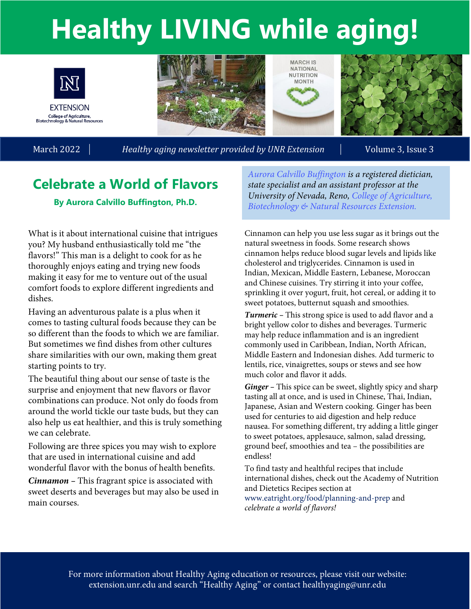# **Healthy LIVING while aging!**



**EXTENSION** College of Agriculture,<br>Biotechnology & Natural Resources

March 2022 | *Healthy aging newsletter provided by UNR Extension* | Volume 3, Issue 3

## **Celebrate a World of Flavors**

#### **By Aurora Calvillo Buffington, Ph.D.**

What is it about international cuisine that intrigues you? My husband enthusiastically told me "the flavors!" This man is a delight to cook for as he thoroughly enjoys eating and trying new foods making it easy for me to venture out of the usual comfort foods to explore different ingredients and dishes.

Having an adventurous palate is a plus when it comes to tasting cultural foods because they can be so different than the foods to which we are familiar. But sometimes we find dishes from other cultures share similarities with our own, making them great starting points to try.

The beautiful thing about our sense of taste is the surprise and enjoyment that new flavors or flavor combinations can produce. Not only do foods from around the world tickle our taste buds, but they can also help us eat healthier, and this is truly something we can celebrate.

Following are three spices you may wish to explore that are used in international cuisine and add wonderful flavor with the bonus of health benefits.

*Cinnamon –* This fragrant spice is associated with sweet deserts and beverages but may also be used in main courses.

*[Aurora Calvillo Buffington](https://www.unr.edu/nutrition/directory/buffington-aurora) is a registered dietician, state specialist and an assistant professor at the [University of Nevada, Reno, College of Agriculture,](https://www.unr.edu/cabnr)  Biotechnology & Natural Resources Extension.* 

**MARCH IS NATIONAL NUTRITION MONTH** 

Cinnamon can help you use less sugar as it brings out the natural sweetness in foods. Some research shows cinnamon helps reduce blood sugar levels and lipids like cholesterol and triglycerides. Cinnamon is used in Indian, Mexican, Middle Eastern, Lebanese, Moroccan and Chinese cuisines. Try stirring it into your coffee, sprinkling it over yogurt, fruit, hot cereal, or adding it to sweet potatoes, butternut squash and smoothies.

*Turmeric –* This strong spice is used to add flavor and a bright yellow color to dishes and beverages. Turmeric may help reduce inflammation and is an ingredient commonly used in Caribbean, Indian, North African, Middle Eastern and Indonesian dishes. Add turmeric to lentils, rice, vinaigrettes, soups or stews and see how much color and flavor it adds.

*Ginger –* This spice can be sweet, slightly spicy and sharp tasting all at once, and is used in Chinese, Thai, Indian, Japanese, Asian and Western cooking. Ginger has been used for centuries to aid digestion and help reduce nausea. For something different, try adding a little ginger to sweet potatoes, applesauce, salmon, salad dressing, ground beef, smoothies and tea – the possibilities are endless!

To find tasty and healthful recipes that include international dishes, check out the Academy of Nutrition and Dietetics Recipes section at www.eatright.org/food/planning-and-prep and *celebrate a world of flavors!*

For more information about Healthy Aging education or resources, please visit our website: extension.unr.edu and search "Healthy Aging" or contact healthyaging@unr.edu